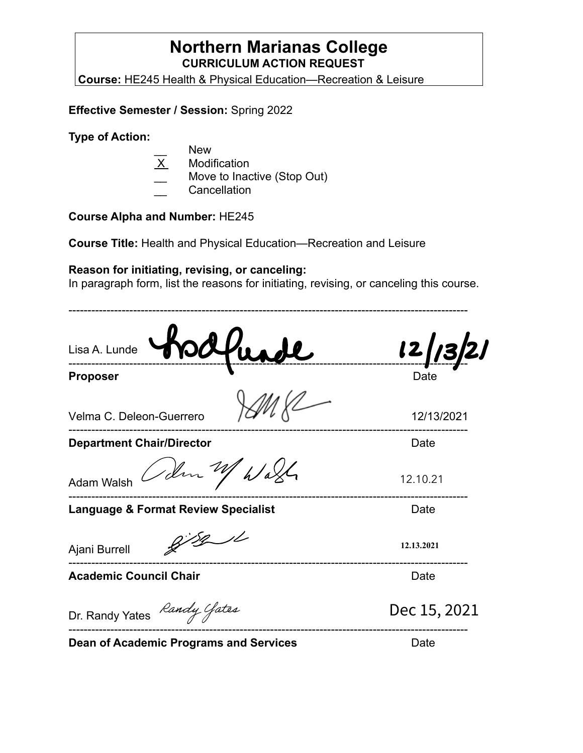### **Northern Marianas College CURRICULUM ACTION REQUEST**

**Course:** HE245 Health & Physical Education—Recreation & Leisure

**Effective Semester / Session:** Spring 2022

**Type of Action:**

- New
- **Modification**
- Move to Inactive (Stop Out)
- \_\_ Cancellation

#### **Course Alpha and Number:** HE245

**Course Title:** Health and Physical Education—Recreation and Leisure

#### **Reason for initiating, revising, or canceling:**

In paragraph form, list the reasons for initiating, revising, or canceling this course.

--------------------------------------------------------------------------------------------------------- Lisa A. Lunde --------------------------------------------------------------------------------------------------------- **Proposer** Date Velma C. Deleon-Guerrero  $\sqrt{C}$ <sup>VV</sup>  $\sqrt{C}$  12/13/2021 --------------------------------------------------------------------------------------------------------- **Department Chair/Director Department Chair/Director** Den M h/aX Adam Walsh Dec 15, 2021 12.10.21 **12.13.2021**--------------------------------------------------------------------------------------------------------- **Language & Format Review Specialist Canadiation Control Cate**  $8/8/1$ Ajani Burrell --------------------------------------------------------------------------------------------------------- **Academic Council Chair Date** Date Dr. Randy Yates Randy Gates -----------------------[-----------------------------------------------------------](https://na4.documents.adobe.com/verifier?tx=CBJCHBCAABAAPeyHgU_0tA3kgreGUnxJZbpjZ7uK3Q4P)-----------------------

**Dean of Academic Programs and Services** Date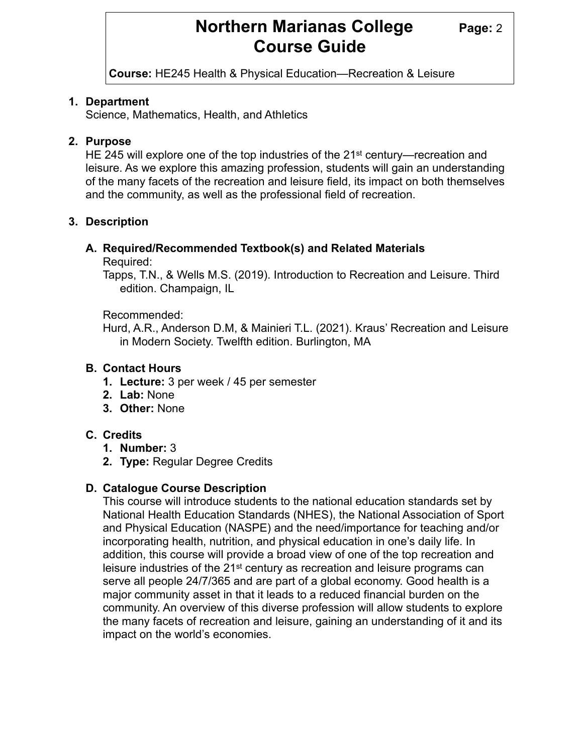## **Northern Marianas College Page: 2 Course Guide**

**Course:** HE245 Health & Physical Education—Recreation & Leisure

#### **1. Department**

Science, Mathematics, Health, and Athletics

#### **2. Purpose**

HE 245 will explore one of the top industries of the 21st century—recreation and leisure. As we explore this amazing profession, students will gain an understanding of the many facets of the recreation and leisure field, its impact on both themselves and the community, as well as the professional field of recreation.

#### **3. Description**

## **A. Required/Recommended Textbook(s) and Related Materials**

#### Required:

Tapps, T.N., & Wells M.S. (2019). Introduction to Recreation and Leisure. Third edition. Champaign, IL

#### Recommended:

Hurd, A.R., Anderson D.M, & Mainieri T.L. (2021). Kraus' Recreation and Leisure in Modern Society. Twelfth edition. Burlington, MA

#### **B. Contact Hours**

- **1. Lecture:** 3 per week / 45 per semester
- **2. Lab:** None
- **3. Other:** None

#### **C. Credits**

- **1. Number:** 3
- **2. Type:** Regular Degree Credits

#### **D. Catalogue Course Description**

This course will introduce students to the national education standards set by National Health Education Standards (NHES), the National Association of Sport and Physical Education (NASPE) and the need/importance for teaching and/or incorporating health, nutrition, and physical education in one's daily life. In addition, this course will provide a broad view of one of the top recreation and leisure industries of the 21<sup>st</sup> century as recreation and leisure programs can serve all people 24/7/365 and are part of a global economy. Good health is a major community asset in that it leads to a reduced financial burden on the community. An overview of this diverse profession will allow students to explore the many facets of recreation and leisure, gaining an understanding of it and its impact on the world's economies.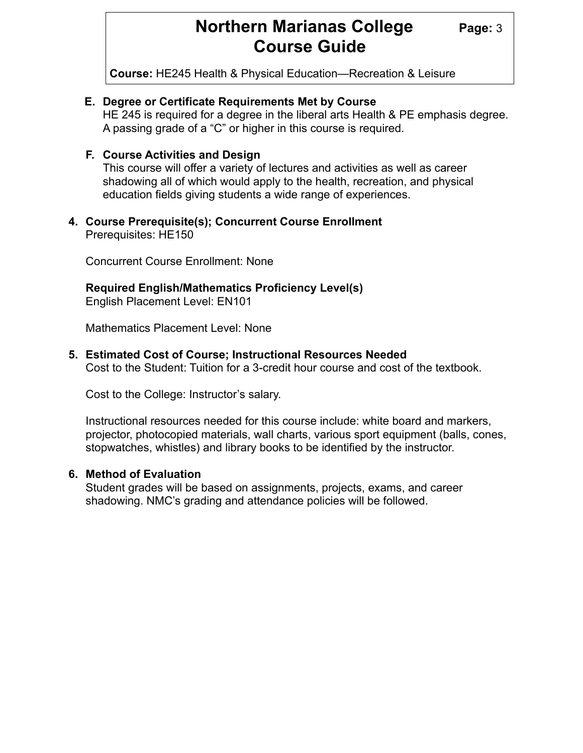## **Northern Marianas College** Page: 3 **Course Guide**

**Course:** HE245 Health & Physical Education—Recreation & Leisure

#### **E. Degree or Certificate Requirements Met by Course**

HE 245 is required for a degree in the liberal arts Health & PE emphasis degree. A passing grade of a "C" or higher in this course is required.

#### **F. Course Activities and Design**

This course will offer a variety of lectures and activities as well as career shadowing all of which would apply to the health, recreation, and physical education fields giving students a wide range of experiences.

#### **4. Course Prerequisite(s); Concurrent Course Enrollment** Prerequisites: HE150

Concurrent Course Enrollment: None

#### **Required English/Mathematics Proficiency Level(s)**

English Placement Level: EN101

Mathematics Placement Level: None

#### **5. Estimated Cost of Course; Instructional Resources Needed**

Cost to the Student: Tuition for a 3-credit hour course and cost of the textbook.

Cost to the College: Instructor's salary.

Instructional resources needed for this course include: white board and markers, projector, photocopied materials, wall charts, various sport equipment (balls, cones, stopwatches, whistles) and library books to be identified by the instructor.

#### **6. Method of Evaluation**

Student grades will be based on assignments, projects, exams, and career shadowing. NMC's grading and attendance policies will be followed.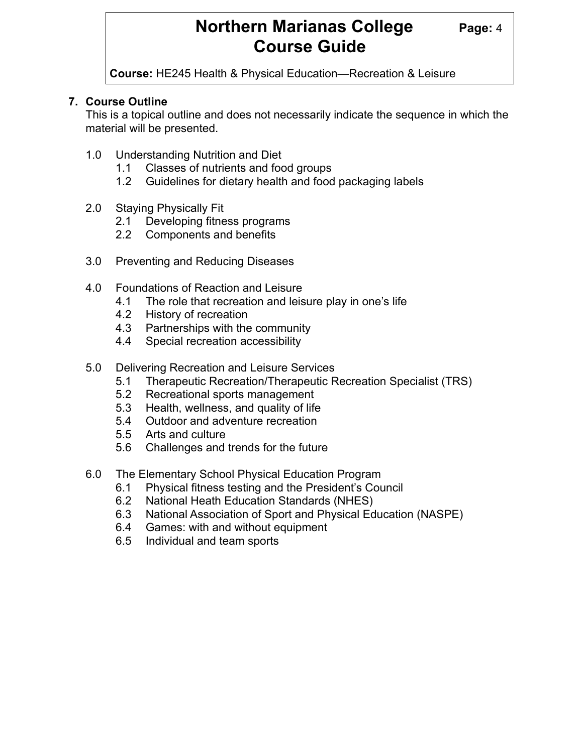## **Northern Marianas College Page: 4 Course Guide**

**Course:** HE245 Health & Physical Education—Recreation & Leisure

#### **7. Course Outline**

This is a topical outline and does not necessarily indicate the sequence in which the material will be presented.

- 1.0 Understanding Nutrition and Diet
	- 1.1 Classes of nutrients and food groups
	- 1.2 Guidelines for dietary health and food packaging labels
- 2.0 Staying Physically Fit
	- 2.1 Developing fitness programs
	- 2.2 Components and benefits
- 3.0 Preventing and Reducing Diseases
- 4.0 Foundations of Reaction and Leisure
	- 4.1 The role that recreation and leisure play in one's life
	- 4.2 History of recreation
	- 4.3 Partnerships with the community
	- 4.4 Special recreation accessibility
- 5.0 Delivering Recreation and Leisure Services
	- 5.1 Therapeutic Recreation/Therapeutic Recreation Specialist (TRS)
	- 5.2 Recreational sports management
	- 5.3 Health, wellness, and quality of life
	- 5.4 Outdoor and adventure recreation
	- 5.5 Arts and culture
	- 5.6 Challenges and trends for the future
- 6.0 The Elementary School Physical Education Program
	- 6.1 Physical fitness testing and the President's Council
	- 6.2 National Heath Education Standards (NHES)
	- 6.3 National Association of Sport and Physical Education (NASPE)
	- 6.4 Games: with and without equipment
	- 6.5 Individual and team sports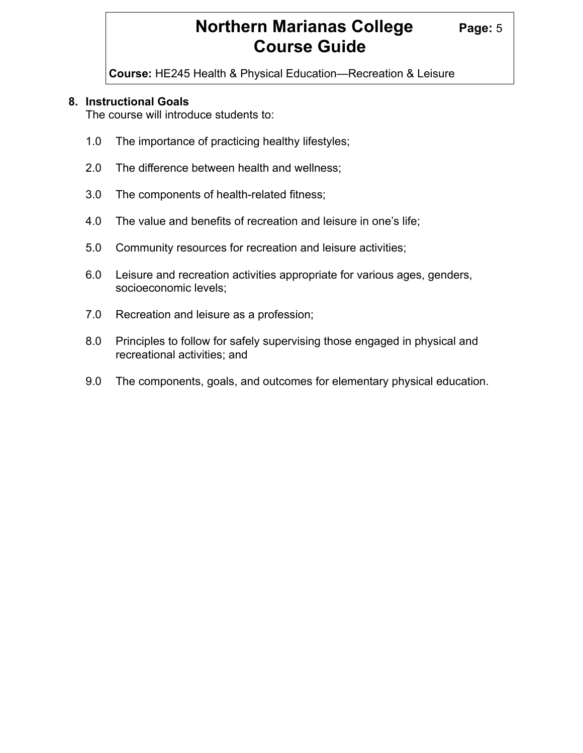# **Northern Marianas College** Page: 5 **Course Guide**

**Course:** HE245 Health & Physical Education—Recreation & Leisure

#### **8. Instructional Goals**

The course will introduce students to:

- 1.0 The importance of practicing healthy lifestyles;
- 2.0 The difference between health and wellness;
- 3.0 The components of health-related fitness;
- 4.0 The value and benefits of recreation and leisure in one's life;
- 5.0 Community resources for recreation and leisure activities;
- 6.0 Leisure and recreation activities appropriate for various ages, genders, socioeconomic levels;
- 7.0 Recreation and leisure as a profession;
- 8.0 Principles to follow for safely supervising those engaged in physical and recreational activities; and
- 9.0 The components, goals, and outcomes for elementary physical education.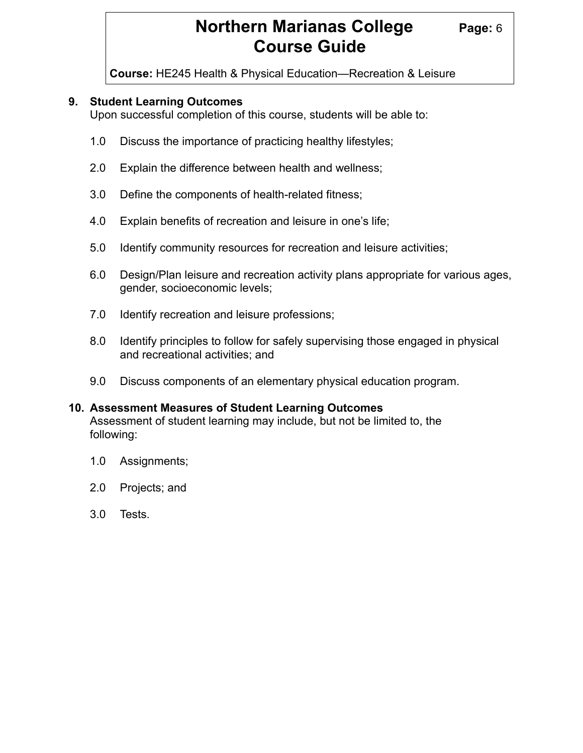# **Northern Marianas College** Page: 6 **Course Guide**

**Course:** HE245 Health & Physical Education—Recreation & Leisure

#### **9. Student Learning Outcomes**

Upon successful completion of this course, students will be able to:

- 1.0 Discuss the importance of practicing healthy lifestyles;
- 2.0 Explain the difference between health and wellness;
- 3.0 Define the components of health-related fitness;
- 4.0 Explain benefits of recreation and leisure in one's life;
- 5.0 Identify community resources for recreation and leisure activities;
- 6.0 Design/Plan leisure and recreation activity plans appropriate for various ages, gender, socioeconomic levels;
- 7.0 Identify recreation and leisure professions;
- 8.0 Identify principles to follow for safely supervising those engaged in physical and recreational activities; and
- 9.0 Discuss components of an elementary physical education program.

#### **10. Assessment Measures of Student Learning Outcomes** Assessment of student learning may include, but not be limited to, the following:

- 1.0 Assignments;
- 2.0 Projects; and
- 3.0 Tests.